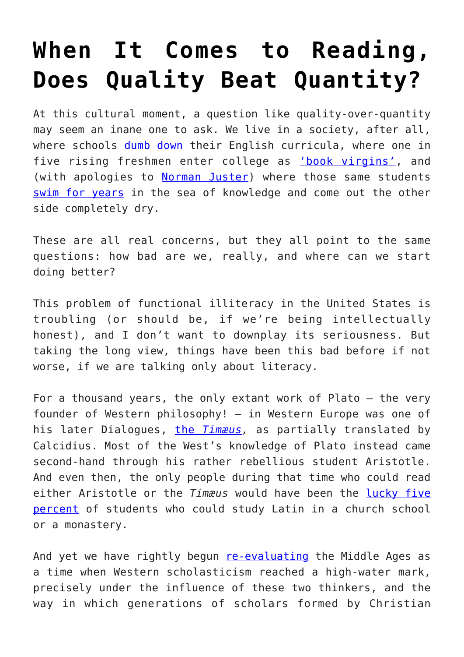## **[When It Comes to Reading,](https://intellectualtakeout.org/2017/07/when-it-comes-to-reading-does-quality-beat-quantity/) [Does Quality Beat Quantity?](https://intellectualtakeout.org/2017/07/when-it-comes-to-reading-does-quality-beat-quantity/)**

At this cultural moment, a question like quality-over-quantity may seem an inane one to ask. We live in a society, after all, where schools [dumb down](https://www.intellectualtakeout.org/blog/stop-dumbing-down-books-teens) their English curricula, where one in five rising freshmen enter college as **['book virgins'](https://www.intellectualtakeout.org/blog/many-college-students-are-book-virgins)**, and (with apologies to [Norman Juster](http://www.goodreads.com/quotes/140108-you-can-swim-all-day-in-the-sea-of-knowledge)) where those same students [swim for years](https://www.intellectualtakeout.org/blog/are-colleges-giving-out-easy) in the sea of knowledge and come out the other side completely dry.

These are all real concerns, but they all point to the same questions: how bad are we, really, and where can we start doing better?

This problem of functional illiteracy in the United States is troubling (or should be, if we're being intellectually honest), and I don't want to downplay its seriousness. But taking the long view, things have been this bad before if not worse, if we are talking only about literacy.

For a thousand years, the only extant work of Plato – the very founder of Western philosophy! – in Western Europe was one of his later Dialogues, [the](http://www.hup.harvard.edu/catalog.php?isbn=9780674599178) *[Timæus,](http://www.hup.harvard.edu/catalog.php?isbn=9780674599178)* as partially translated by Calcidius. Most of the West's knowledge of Plato instead came second-hand through his rather rebellious student Aristotle. And even then, the only people during that time who could read either Aristotle or the *Timæus* would have been the [lucky five](http://spartacus-educational.com/YALDeducation.htm) [percent](http://spartacus-educational.com/YALDeducation.htm) of students who could study Latin in a church school or a monastery.

And yet we have rightly begun [re-evaluating](http://www.history.com/news/history-lists/6-reasons-the-dark-ages-werent-so-dark) the Middle Ages as a time when Western scholasticism reached a high-water mark, precisely under the influence of these two thinkers, and the way in which generations of scholars formed by Christian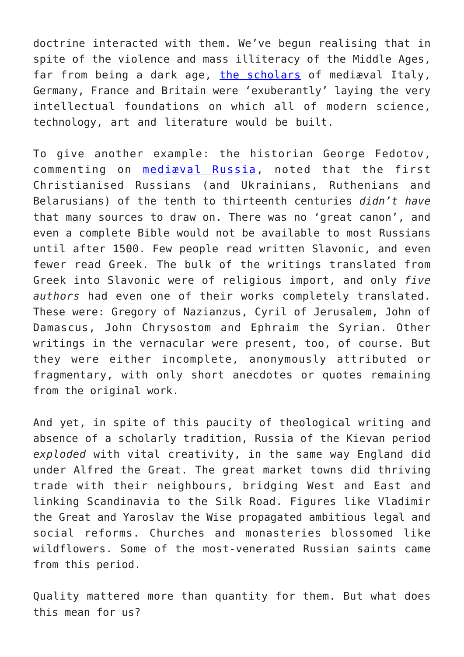doctrine interacted with them. We've begun realising that in spite of the violence and mass illiteracy of the Middle Ages, far from being a dark age, [the scholars](http://history-world.org/midintellectual.htm) of mediæval Italy, Germany, France and Britain were 'exuberantly' laying the very intellectual foundations on which all of modern science, technology, art and literature would be built.

To give another example: the historian George Fedotov, commenting on [mediæval Russia](http://www.hup.harvard.edu/catalog.php?isbn=9780674333604), noted that the first Christianised Russians (and Ukrainians, Ruthenians and Belarusians) of the tenth to thirteenth centuries *didn't have* that many sources to draw on. There was no 'great canon', and even a complete Bible would not be available to most Russians until after 1500. Few people read written Slavonic, and even fewer read Greek. The bulk of the writings translated from Greek into Slavonic were of religious import, and only *five authors* had even one of their works completely translated. These were: Gregory of Nazianzus, Cyril of Jerusalem, John of Damascus, John Chrysostom and Ephraim the Syrian. Other writings in the vernacular were present, too, of course. But they were either incomplete, anonymously attributed or fragmentary, with only short anecdotes or quotes remaining from the original work.

And yet, in spite of this paucity of theological writing and absence of a scholarly tradition, Russia of the Kievan period *exploded* with vital creativity, in the same way England did under Alfred the Great. The great market towns did thriving trade with their neighbours, bridging West and East and linking Scandinavia to the Silk Road. Figures like Vladimir the Great and Yaroslav the Wise propagated ambitious legal and social reforms. Churches and monasteries blossomed like wildflowers. Some of the most-venerated Russian saints came from this period.

Quality mattered more than quantity for them. But what does this mean for us?